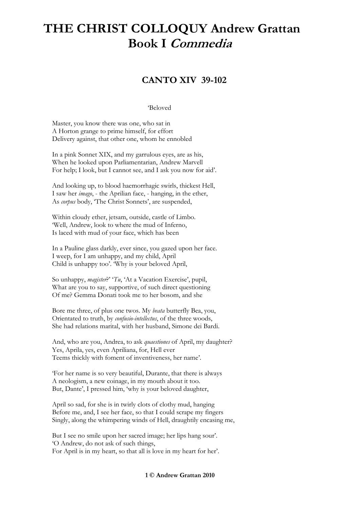## **THE CHRIST COLLOQUY Andrew Grattan Book I Commedia**

## **CANTO XIV 39-102**

## 'Beloved

Master, you know there was one, who sat in A Horton grange to prime himself, for effort Delivery against, that other one, whom he ennobled

In a pink Sonnet XIX, and my garrulous eyes, are as his, When he looked upon Parliamentarian, Andrew Marvell For help; I look, but I cannot see, and I ask you now for aid'.

And looking up, to blood haemorrhagic swirls, thickest Hell, I saw her *imago*, - the Aprilian face, - hanging, in the ether, As *corpus* body, 'The Christ Sonnets', are suspended,

Within cloudy ether, jetsam, outside, castle of Limbo. 'Well, Andrew, look to where the mud of Inferno, Is laced with mud of your face, which has been

In a Pauline glass darkly, ever since, you gazed upon her face. I weep, for I am unhappy, and my child, April Child is unhappy too'. 'Why is your beloved April,

So unhappy, *magister*?' '*Tu*, 'At a Vacation Exercise', pupil, What are you to say, supportive, of such direct questioning Of me? Gemma Donati took me to her bosom, and she

Bore me three, of plus one twos. My *beata* butterfly Bea, you, Orientated to truth, by *confusio-intellectus*, of the three woods, She had relations marital, with her husband, Simone dei Bardi.

And, who are you, Andrea, to ask *quaestiones* of April, my daughter? Yes, Aprila, yes, even Apriliana, for, Hell ever Teems thickly with foment of inventiveness, her name'.

'For her name is so very beautiful, Durante, that there is always A neologism, a new coinage, in my mouth about it too. But, Dante', I pressed him, 'why is your beloved daughter,

April so sad, for she is in twirly clots of clothy mud, hanging Before me, and, I see her face, so that I could scrape my fingers Singly, along the whimpering winds of Hell, draughtily encasing me,

But I see no smile upon her sacred image; her lips hang sour'. 'O Andrew, do not ask of such things, For April is in my heart, so that all is love in my heart for her'.